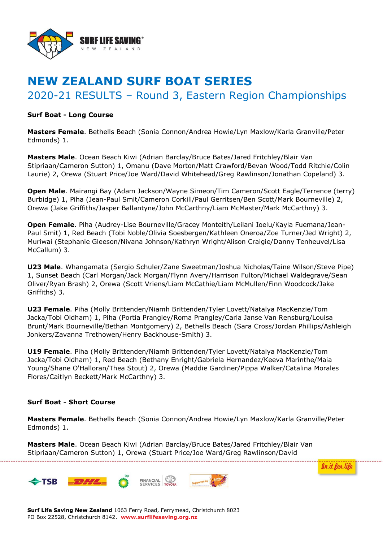

## **NEW ZEALAND SURF BOAT SERIES**

2020-21 RESULTS – Round 3, Eastern Region Championships

## **Surf Boat - Long Course**

**Masters Female**. Bethells Beach (Sonia Connon/Andrea Howie/Lyn Maxlow/Karla Granville/Peter Edmonds) 1.

**Masters Male**. Ocean Beach Kiwi (Adrian Barclay/Bruce Bates/Jared Fritchley/Blair Van Stipriaan/Cameron Sutton) 1, Omanu (Dave Morton/Matt Crawford/Bevan Wood/Todd Ritchie/Colin Laurie) 2, Orewa (Stuart Price/Joe Ward/David Whitehead/Greg Rawlinson/Jonathan Copeland) 3.

**Open Male**. Mairangi Bay (Adam Jackson/Wayne Simeon/Tim Cameron/Scott Eagle/Terrence (terry) Burbidge) 1, Piha (Jean-Paul Smit/Cameron Corkill/Paul Gerritsen/Ben Scott/Mark Bourneville) 2, Orewa (Jake Griffiths/Jasper Ballantyne/John McCarthny/Liam McMaster/Mark McCarthny) 3.

**Open Female**. Piha (Audrey-Lise Bourneville/Gracey Monteith/Leilani Ioelu/Kayla Fuemana/Jean-Paul Smit) 1, Red Beach (Tobi Noble/Olivia Soesbergen/Kathleen Oneroa/Zoe Turner/Jed Wright) 2, Muriwai (Stephanie Gleeson/Nivana Johnson/Kathryn Wright/Alison Craigie/Danny Tenheuvel/Lisa McCallum) 3.

**U23 Male**. Whangamata (Sergio Schuler/Zane Sweetman/Joshua Nicholas/Taine Wilson/Steve Pipe) 1, Sunset Beach (Carl Morgan/Jack Morgan/Flynn Avery/Harrison Fulton/Michael Waldegrave/Sean Oliver/Ryan Brash) 2, Orewa (Scott Vriens/Liam McCathie/Liam McMullen/Finn Woodcock/Jake Griffiths) 3.

**U23 Female**. Piha (Molly Brittenden/Niamh Brittenden/Tyler Lovett/Natalya MacKenzie/Tom Jacka/Tobi Oldham) 1, Piha (Portia Prangley/Roma Prangley/Carla Janse Van Rensburg/Louisa Brunt/Mark Bourneville/Bethan Montgomery) 2, Bethells Beach (Sara Cross/Jordan Phillips/Ashleigh Jonkers/Zavanna Trethowen/Henry Backhouse-Smith) 3.

**U19 Female**. Piha (Molly Brittenden/Niamh Brittenden/Tyler Lovett/Natalya MacKenzie/Tom Jacka/Tobi Oldham) 1, Red Beach (Bethany Enright/Gabriela Hernandez/Keeva Marinthe/Maia Young/Shane O'Halloran/Thea Stout) 2, Orewa (Maddie Gardiner/Pippa Walker/Catalina Morales Flores/Caitlyn Beckett/Mark McCarthny) 3.

## **Surf Boat - Short Course**

**Masters Female**. Bethells Beach (Sonia Connon/Andrea Howie/Lyn Maxlow/Karla Granville/Peter Edmonds) 1.

**Masters Male**. Ocean Beach Kiwi (Adrian Barclay/Bruce Bates/Jared Fritchley/Blair Van Stipriaan/Cameron Sutton) 1, Orewa (Stuart Price/Joe Ward/Greg Rawlinson/David

In it for life



**Surf Life Saving New Zealand** 1063 Ferry Road, Ferrymead, Christchurch 8023 PO Box 22528, Christchurch 8142. **www.surflifesaving.org.nz**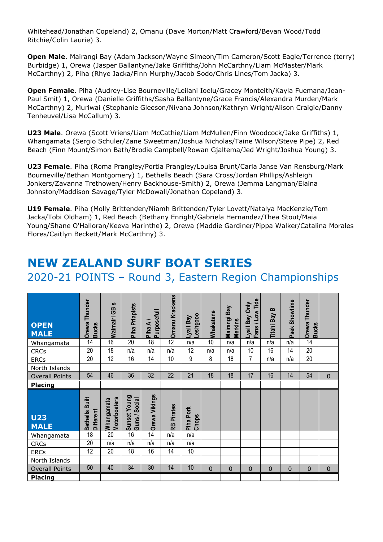Whitehead/Jonathan Copeland) 2, Omanu (Dave Morton/Matt Crawford/Bevan Wood/Todd Ritchie/Colin Laurie) 3.

**Open Male**. Mairangi Bay (Adam Jackson/Wayne Simeon/Tim Cameron/Scott Eagle/Terrence (terry) Burbidge) 1, Orewa (Jasper Ballantyne/Jake Griffiths/John McCarthny/Liam McMaster/Mark McCarthny) 2, Piha (Rhye Jacka/Finn Murphy/Jacob Sodo/Chris Lines/Tom Jacka) 3.

**Open Female**. Piha (Audrey-Lise Bourneville/Leilani Ioelu/Gracey Monteith/Kayla Fuemana/Jean-Paul Smit) 1, Orewa (Danielle Griffiths/Sasha Ballantyne/Grace Francis/Alexandra Murden/Mark McCarthny) 2, Muriwai (Stephanie Gleeson/Nivana Johnson/Kathryn Wright/Alison Craigie/Danny Tenheuvel/Lisa McCallum) 3.

**U23 Male**. Orewa (Scott Vriens/Liam McCathie/Liam McMullen/Finn Woodcock/Jake Griffiths) 1, Whangamata (Sergio Schuler/Zane Sweetman/Joshua Nicholas/Taine Wilson/Steve Pipe) 2, Red Beach (Finn Mount/Simon Bath/Brodie Campbell/Rowan Gjaltema/Jed Wright/Joshua Young) 3.

**U23 Female**. Piha (Roma Prangley/Portia Prangley/Louisa Brunt/Carla Janse Van Rensburg/Mark Bourneville/Bethan Montgomery) 1, Bethells Beach (Sara Cross/Jordan Phillips/Ashleigh Jonkers/Zavanna Trethowen/Henry Backhouse-Smith) 2, Orewa (Jemma Langman/Elaina Johnston/Maddison Savage/Tyler McDowall/Jonathan Copeland) 3.

**U19 Female**. Piha (Molly Brittenden/Niamh Brittenden/Tyler Lovett/Natalya MacKenzie/Tom Jacka/Tobi Oldham) 1, Red Beach (Bethany Enright/Gabriela Hernandez/Thea Stout/Maia Young/Shane O'Halloran/Keeva Marinthe) 2, Orewa (Maddie Gardiner/Pippa Walker/Catalina Morales Flores/Caitlyn Beckett/Mark McCarthny) 3.

## **NEW ZEALAND SURF BOAT SERIES**

2020-21 POINTS – Round 3, Eastern Region Championships

| <b>OPEN</b><br><b>MALE</b> | <b>Drewa Thunder</b><br><b>Bucks</b>      | ဖာ<br>Waimairi GB                 | Priapists<br>Piha             | Piha A /<br>Purposefull | <b>Omanu Krackens</b> | eshgooo<br>Lyall Bay | Whakatane   | Mairangi Bay<br><b>Merkins</b> | Fans / Low Tide<br>-yall Bay Only | $\boldsymbol{\omega}$<br>Bay<br><b>Titahi</b> | Paek Showtime | Thunder<br>Orewa <sup>-</sup><br><b>Bucks</b> |             |
|----------------------------|-------------------------------------------|-----------------------------------|-------------------------------|-------------------------|-----------------------|----------------------|-------------|--------------------------------|-----------------------------------|-----------------------------------------------|---------------|-----------------------------------------------|-------------|
| Whangamata                 | 14                                        | $\overline{16}$                   | 20                            | $\overline{18}$         | 12                    | n/a                  | 10          | n/a                            | n/a                               | n/a                                           | n/a           | 14                                            |             |
| <b>CRCs</b>                | 20                                        | 18                                | n/a                           | n/a                     | n/a                   | 12                   | n/a         | n/a                            | 10                                | 16                                            | 14            | 20                                            |             |
| <b>ERCs</b>                | 20                                        | $\overline{12}$                   | 16                            | 14                      | 10                    | 9                    | 8           | 18                             | $\overline{7}$                    | n/a                                           | n/a           | $\overline{20}$                               |             |
| North Islands              |                                           |                                   |                               |                         |                       |                      |             |                                |                                   |                                               |               |                                               |             |
| <b>Overall Points</b>      | 54                                        | 46                                | 36                            | 32                      | 22                    | 21                   | 18          | 18                             | 17                                | 16                                            | 14            | 54                                            | $\mathbf 0$ |
| <b>Placing</b>             |                                           |                                   |                               |                         |                       |                      |             |                                |                                   |                                               |               |                                               |             |
| <b>U23</b><br><b>MALE</b>  | <b>Bethells Built</b><br><b>Different</b> | <b>Motorboaters</b><br>Whangamata | Sunset Young<br>Guns / Social | Orewa Vikings           | <b>Pirates</b><br>æ   | Piha Pork<br>Chops   |             |                                |                                   |                                               |               |                                               |             |
| Whangamata                 | $\overline{18}$                           | 20                                | 16                            | $\overline{14}$         | n/a                   | n/a                  |             |                                |                                   |                                               |               |                                               |             |
| <b>CRCs</b>                | 20                                        | n/a                               | n/a                           | n/a                     | n/a                   | n/a                  |             |                                |                                   |                                               |               |                                               |             |
| <b>ERCs</b>                | 12                                        | 20                                | 18                            | 16                      | 14                    | 10                   |             |                                |                                   |                                               |               |                                               |             |
| North Islands              |                                           |                                   |                               |                         |                       |                      |             |                                |                                   |                                               |               |                                               |             |
| <b>Overall Points</b>      | 50                                        | 40                                | 34                            | 30                      | 14                    | 10                   | $\mathbf 0$ | $\mathbf{0}$                   | $\mathbf 0$                       | $\pmb{0}$                                     | $\mathbf 0$   | $\mathbf 0$                                   | 0           |
| <b>Placing</b>             |                                           |                                   |                               |                         |                       |                      |             |                                |                                   |                                               |               |                                               |             |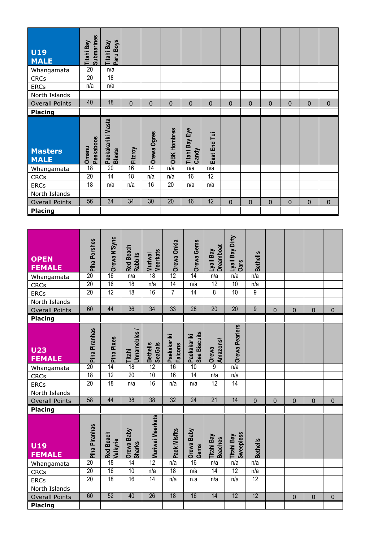| U19<br><b>MALE</b>            | Titahi Bay<br>Submarines | Paru Boys<br>Titahi Bay            |                 |                 |                    |                            |              |             |                |             |             |                |             |
|-------------------------------|--------------------------|------------------------------------|-----------------|-----------------|--------------------|----------------------------|--------------|-------------|----------------|-------------|-------------|----------------|-------------|
| Whangamata                    | $\overline{20}$          | n/a                                |                 |                 |                    |                            |              |             |                |             |             |                |             |
| <b>CRCs</b>                   | 20                       | 18                                 |                 |                 |                    |                            |              |             |                |             |             |                |             |
| <b>ERCs</b>                   | n/a                      | n/a                                |                 |                 |                    |                            |              |             |                |             |             |                |             |
| North Islands                 |                          |                                    |                 |                 |                    |                            |              |             |                |             |             |                |             |
| <b>Overall Points</b>         | 40                       | 18                                 | $\Omega$        | $\Omega$        | $\Omega$           | $\Omega$                   | $\Omega$     | $\Omega$    | $\overline{0}$ | $\Omega$    | $\Omega$    | $\overline{0}$ | $\mathbf 0$ |
| <b>Placing</b>                |                          |                                    |                 |                 |                    |                            |              |             |                |             |             |                |             |
| <b>Masters</b><br><b>MALE</b> | Peekaboos<br>Omanu       | Paekakariki Masta<br><b>Blasta</b> | Fitzroy         | Orewa Ogres     | <b>OBK Hombres</b> | Еyе<br>Titahi Bay<br>Candy | East End Tui |             |                |             |             |                |             |
| Whangamata                    | $\overline{18}$          | 20                                 | $\overline{16}$ | $\overline{14}$ | n/a                | n/a                        | n/a          |             |                |             |             |                |             |
| <b>CRCs</b>                   | 20                       | 14                                 | 18              | n/a             | n/a                | 16                         | 12           |             |                |             |             |                |             |
| <b>ERCs</b>                   | 18                       | n/a                                | n/a             | 16              | 20                 | n/a                        | n/a          |             |                |             |             |                |             |
| North Islands                 |                          |                                    |                 |                 |                    |                            |              |             |                |             |             |                |             |
| <b>Overall Points</b>         | 56                       | 34                                 | 34              | 30              | 20                 | 16                         | 12           | $\mathbf 0$ | $\mathbf 0$    | $\mathbf 0$ | $\mathbf 0$ | $\mathbf 0$    | $\mathbf 0$ |
| <b>Placing</b>                |                          |                                    |                 |                 |                    |                            |              |             |                |             |             |                |             |

| <b>OPEN</b>                 | Piha Porshes    | Orewa N'Sync                 | <b>Red Beach</b>            | <b>Meerkats</b>                   | <b>Drewa Onkia</b>     | <b>Orewa Gems</b>           | <b>Dreamboat</b><br>Lyall Bay | Lyall Bay Dirty         |                  |             |                |                |             |
|-----------------------------|-----------------|------------------------------|-----------------------------|-----------------------------------|------------------------|-----------------------------|-------------------------------|-------------------------|------------------|-------------|----------------|----------------|-------------|
| <b>FEMALE</b>               |                 |                              | <b>Rabbits</b>              | Muriwai                           |                        |                             |                               | Oars                    | <b>Bethells</b>  |             |                |                |             |
| Whangamata                  | 20              | $\overline{16}$              | n/a                         | $\overline{18}$                   | $\overline{12}$        | 14                          | n/a                           | n/a                     | $\overline{n/a}$ |             |                |                |             |
| <b>CRCs</b>                 | 20              | 16                           | 18                          | n/a                               | $\overline{14}$        | n/a                         | 12                            | $\overline{10}$         | n/a              |             |                |                |             |
| <b>ERCs</b>                 | $\overline{20}$ | 12                           | 18                          | $\overline{16}$                   | $\overline{7}$         | $\overline{14}$             | $\overline{8}$                | $\overline{10}$         | 9                |             |                |                |             |
| North Islands               |                 |                              |                             |                                   |                        |                             |                               |                         |                  |             |                |                |             |
| <b>Overall Points</b>       | 60              | 44                           | $\overline{36}$             | $\overline{34}$                   | 33                     | 28                          | $\overline{20}$               | $\overline{20}$         | $\overline{9}$   | $\mathbf 0$ | $\mathbf 0$    | $\mathbf 0$    | $\mathbf 0$ |
| Placing                     |                 |                              |                             |                                   |                        |                             |                               |                         |                  |             |                |                |             |
| <b>U23</b><br><b>FEMALE</b> | Piha Piranhas   | Piha Pixes                   | Jnnamebles /<br>Titahi      | <b>SeaGals</b><br><b>Bethells</b> | Paekakariki<br>Falcons | Sea Biscuits<br>Paekakariki | Amazons/<br>Orewa             | <b>Orewa Pearlers</b>   |                  |             |                |                |             |
| Whangamata                  | 20              | 14                           | $\overline{18}$             | 12                                | 16                     | 10                          | $\overline{9}$                | n/a                     |                  |             |                |                |             |
| <b>CRCs</b>                 | 18              | $\overline{12}$              | $\overline{20}$             | 10                                | 16                     | 14                          | n/a                           | n/a                     |                  |             |                |                |             |
| <b>ERCs</b>                 | $\overline{20}$ | 18                           | n/a                         | 16                                | n/a                    | n/a                         | 12                            | $\overline{14}$         |                  |             |                |                |             |
| North Islands               |                 |                              |                             |                                   |                        |                             |                               |                         |                  |             |                |                |             |
| <b>Overall Points</b>       | 58              | 44                           | 38                          | 38                                | $\overline{32}$        | 24                          | $\overline{21}$               | 14                      | $\Omega$         | $\Omega$    | $\Omega$       | $\overline{0}$ | $\mathbf 0$ |
| Placing                     |                 |                              |                             |                                   |                        |                             |                               |                         |                  |             |                |                |             |
| <b>U19</b><br><b>FEMALE</b> | Piha Piranhas   | <b>Red Beach</b><br>Valkyrie | Orewa Baby<br><b>Sharks</b> | Muriwai Meerkats                  | Paek Misfits           | Orewa Baby<br>Gems          | Titahi Bay<br><b>Beaches</b>  | Sweepless<br>Titahi Bay | <b>Bethells</b>  |             |                |                |             |
| Whangamata                  | $\overline{20}$ | 18                           | $\overline{14}$             | $\overline{12}$                   | n/a                    | 16                          | n/a                           | n/a                     | n/a              |             |                |                |             |
| <b>CRCs</b>                 | $\overline{20}$ | 16                           | 10                          | n/a                               | $\overline{18}$        | n/a                         | $\overline{14}$               | 12                      | n/a              |             |                |                |             |
| <b>ERCs</b>                 | 20              | 18                           | 16                          | $\overline{14}$                   | n/a                    | n.a                         | n/a                           | n/a                     | $\overline{12}$  |             |                |                |             |
| North Islands               |                 |                              |                             |                                   |                        |                             |                               |                         |                  |             |                |                |             |
| <b>Overall Points</b>       | 60              | 52                           | 40                          | $\overline{26}$                   | 18                     | 16                          | 14                            | 12                      | 12               |             | $\overline{0}$ | $\mathbf 0$    | $\mathbf 0$ |
| <b>Placing</b>              |                 |                              |                             |                                   |                        |                             |                               |                         |                  |             |                |                |             |